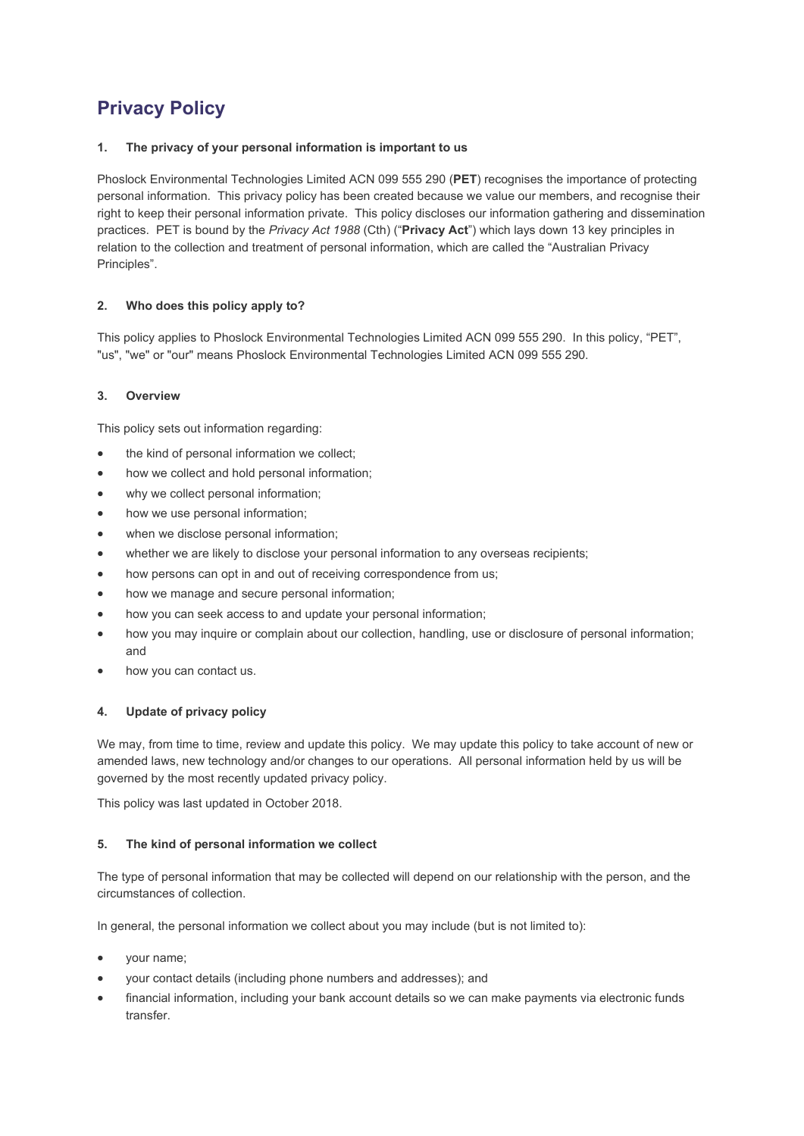# **Privacy Policy**

# **1. The privacy of your personal information is important to us**

Phoslock Environmental Technologies Limited ACN 099 555 290 (**PET**) recognises the importance of protecting personal information. This privacy policy has been created because we value our members, and recognise their right to keep their personal information private. This policy discloses our information gathering and dissemination practices. PET is bound by the *Privacy Act 1988* (Cth) ("**Privacy Act**") which lays down 13 key principles in relation to the collection and treatment of personal information, which are called the "Australian Privacy Principles".

# **2. Who does this policy apply to?**

This policy applies to Phoslock Environmental Technologies Limited ACN 099 555 290. In this policy, "PET", "us", "we" or "our" means Phoslock Environmental Technologies Limited ACN 099 555 290.

# **3. Overview**

This policy sets out information regarding:

- the kind of personal information we collect:
- how we collect and hold personal information:
- why we collect personal information;
- how we use personal information;
- when we disclose personal information;
- whether we are likely to disclose your personal information to any overseas recipients;
- how persons can opt in and out of receiving correspondence from us;
- how we manage and secure personal information;
- how you can seek access to and update your personal information;
- how you may inquire or complain about our collection, handling, use or disclosure of personal information; and
- how you can contact us.

## **4. Update of privacy policy**

We may, from time to time, review and update this policy. We may update this policy to take account of new or amended laws, new technology and/or changes to our operations. All personal information held by us will be governed by the most recently updated privacy policy.

This policy was last updated in October 2018.

## **5. The kind of personal information we collect**

The type of personal information that may be collected will depend on our relationship with the person, and the circumstances of collection.

In general, the personal information we collect about you may include (but is not limited to):

- your name;
- your contact details (including phone numbers and addresses); and
- financial information, including your bank account details so we can make payments via electronic funds transfer.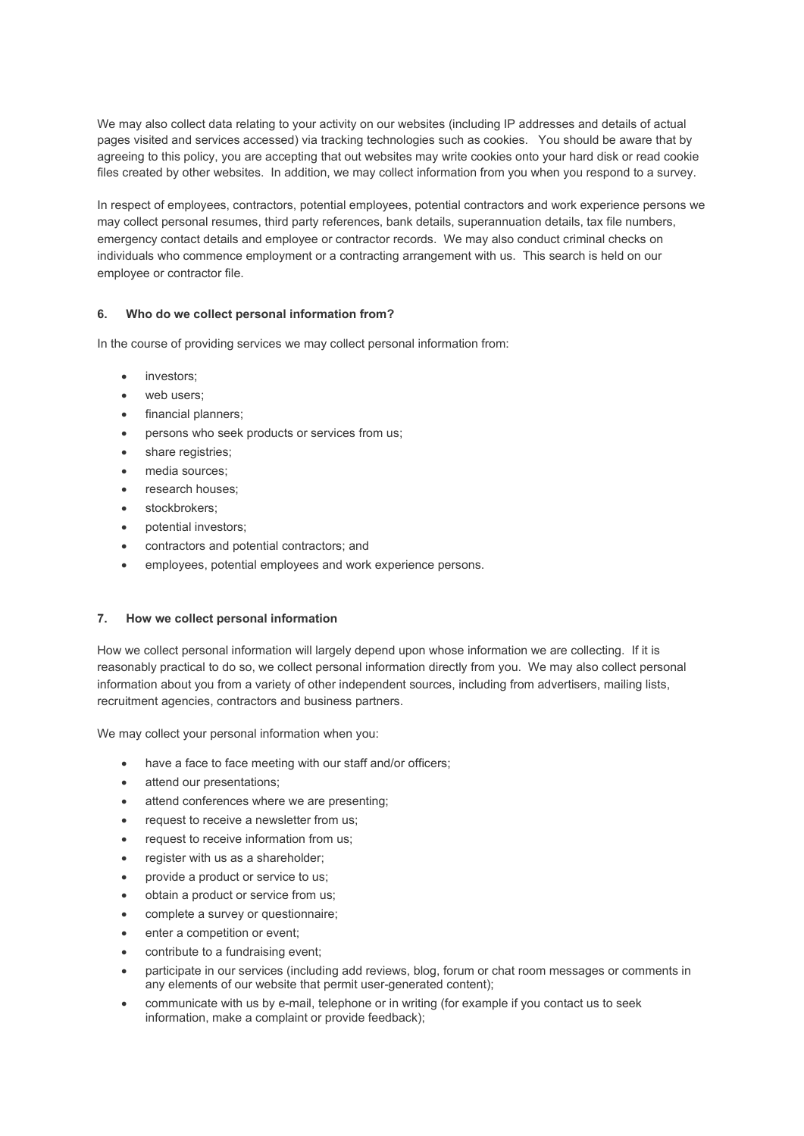We may also collect data relating to your activity on our websites (including IP addresses and details of actual pages visited and services accessed) via tracking technologies such as cookies. You should be aware that by agreeing to this policy, you are accepting that out websites may write cookies onto your hard disk or read cookie files created by other websites. In addition, we may collect information from you when you respond to a survey.

In respect of employees, contractors, potential employees, potential contractors and work experience persons we may collect personal resumes, third party references, bank details, superannuation details, tax file numbers, emergency contact details and employee or contractor records. We may also conduct criminal checks on individuals who commence employment or a contracting arrangement with us. This search is held on our employee or contractor file.

# **6. Who do we collect personal information from?**

In the course of providing services we may collect personal information from:

- investors:
- web users:
- financial planners;
- persons who seek products or services from us;
- share registries;
- media sources:
- research houses:
- stockbrokers:
- potential investors;
- contractors and potential contractors; and
- employees, potential employees and work experience persons.

## **7. How we collect personal information**

How we collect personal information will largely depend upon whose information we are collecting. If it is reasonably practical to do so, we collect personal information directly from you. We may also collect personal information about you from a variety of other independent sources, including from advertisers, mailing lists, recruitment agencies, contractors and business partners.

We may collect your personal information when you:

- have a face to face meeting with our staff and/or officers;
- attend our presentations;
- attend conferences where we are presenting;
- request to receive a newsletter from us;
- request to receive information from us;
- register with us as a shareholder;
- provide a product or service to us;
- obtain a product or service from us;
- complete a survey or questionnaire;
- enter a competition or event:
- contribute to a fundraising event;
- participate in our services (including add reviews, blog, forum or chat room messages or comments in any elements of our website that permit user-generated content);
- communicate with us by e-mail, telephone or in writing (for example if you contact us to seek information, make a complaint or provide feedback);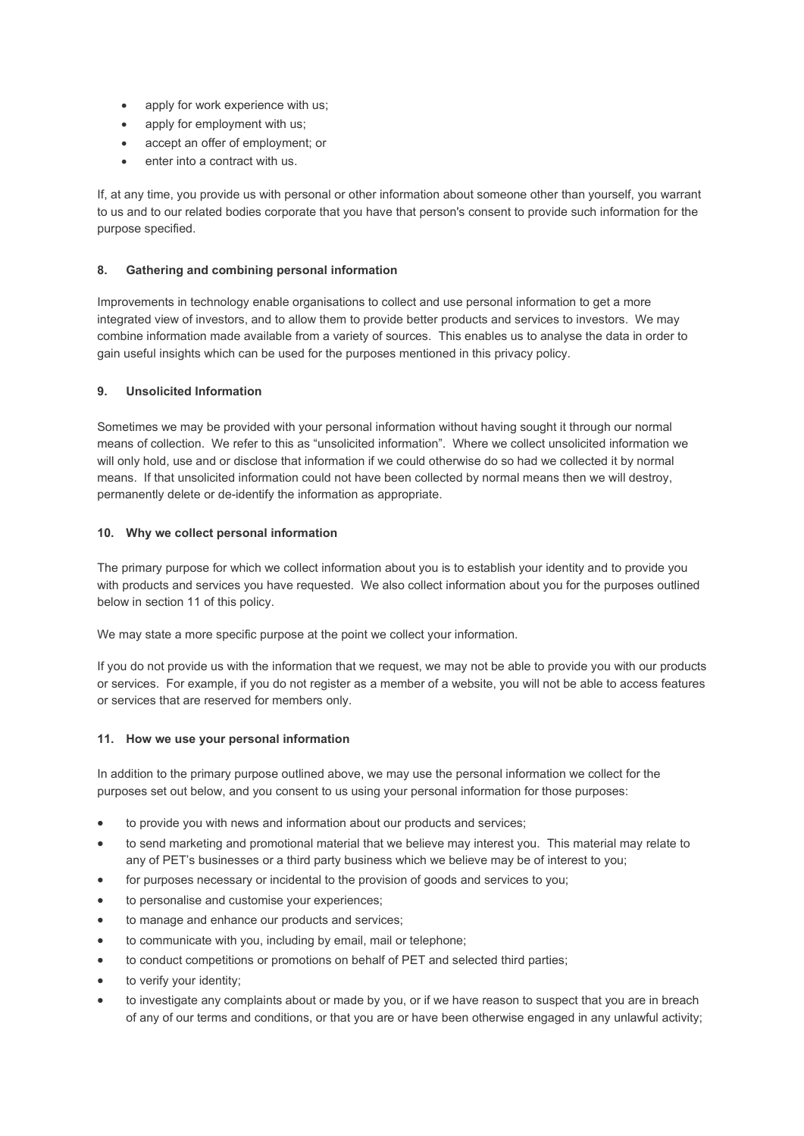- apply for work experience with us;
- apply for employment with us;
- accept an offer of employment; or
- enter into a contract with us.

If, at any time, you provide us with personal or other information about someone other than yourself, you warrant to us and to our related bodies corporate that you have that person's consent to provide such information for the purpose specified.

## **8. Gathering and combining personal information**

Improvements in technology enable organisations to collect and use personal information to get a more integrated view of investors, and to allow them to provide better products and services to investors. We may combine information made available from a variety of sources. This enables us to analyse the data in order to gain useful insights which can be used for the purposes mentioned in this privacy policy.

## **9. Unsolicited Information**

Sometimes we may be provided with your personal information without having sought it through our normal means of collection. We refer to this as "unsolicited information". Where we collect unsolicited information we will only hold, use and or disclose that information if we could otherwise do so had we collected it by normal means. If that unsolicited information could not have been collected by normal means then we will destroy, permanently delete or de-identify the information as appropriate.

## **10. Why we collect personal information**

The primary purpose for which we collect information about you is to establish your identity and to provide you with products and services you have requested. We also collect information about you for the purposes outlined below in section 11 of this policy.

We may state a more specific purpose at the point we collect your information.

If you do not provide us with the information that we request, we may not be able to provide you with our products or services. For example, if you do not register as a member of a website, you will not be able to access features or services that are reserved for members only.

## **11. How we use your personal information**

In addition to the primary purpose outlined above, we may use the personal information we collect for the purposes set out below, and you consent to us using your personal information for those purposes:

- to provide you with news and information about our products and services;
- to send marketing and promotional material that we believe may interest you. This material may relate to any of PET's businesses or a third party business which we believe may be of interest to you;
- for purposes necessary or incidental to the provision of goods and services to you;
- to personalise and customise your experiences:
- to manage and enhance our products and services;
- to communicate with you, including by email, mail or telephone;
- to conduct competitions or promotions on behalf of PET and selected third parties;
- to verify your identity;
- to investigate any complaints about or made by you, or if we have reason to suspect that you are in breach of any of our terms and conditions, or that you are or have been otherwise engaged in any unlawful activity;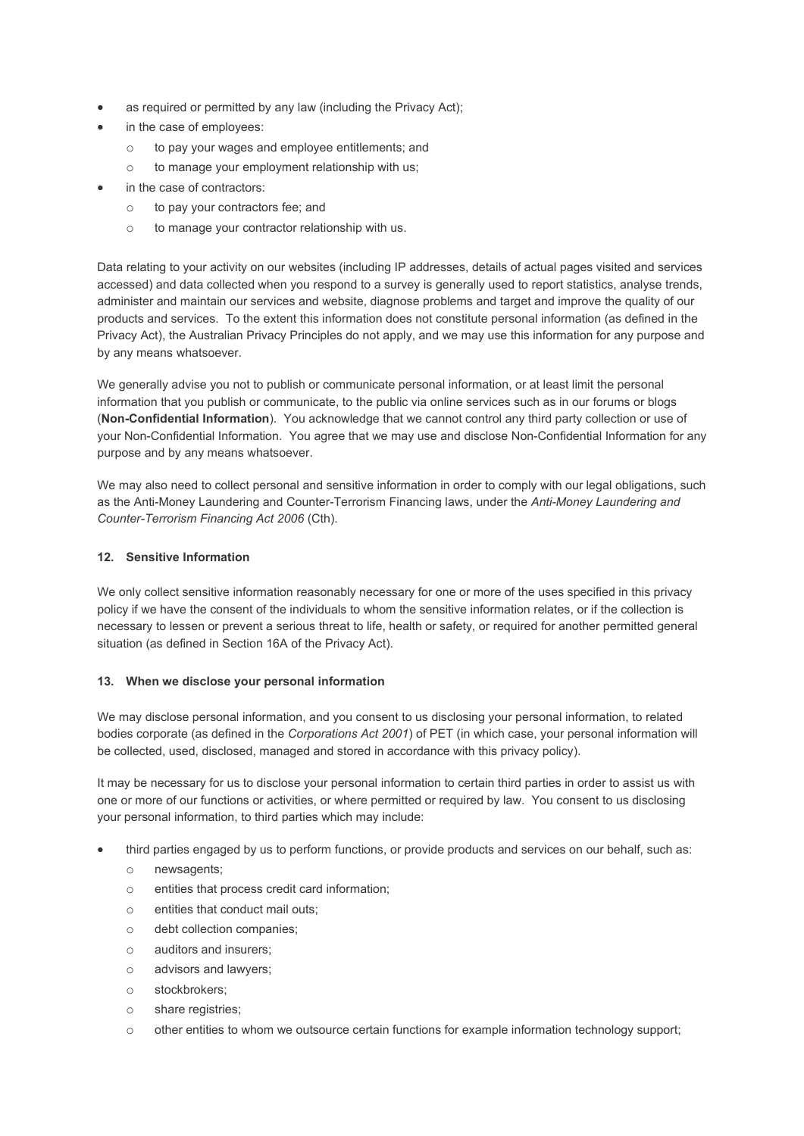- as required or permitted by any law (including the Privacy Act);
- in the case of employees:
	- o to pay your wages and employee entitlements; and
	- o to manage your employment relationship with us;
- in the case of contractors:
	- o to pay your contractors fee; and
	- o to manage your contractor relationship with us.

Data relating to your activity on our websites (including IP addresses, details of actual pages visited and services accessed) and data collected when you respond to a survey is generally used to report statistics, analyse trends, administer and maintain our services and website, diagnose problems and target and improve the quality of our products and services. To the extent this information does not constitute personal information (as defined in the Privacy Act), the Australian Privacy Principles do not apply, and we may use this information for any purpose and by any means whatsoever.

We generally advise you not to publish or communicate personal information, or at least limit the personal information that you publish or communicate, to the public via online services such as in our forums or blogs (**Non-Confidential Information**). You acknowledge that we cannot control any third party collection or use of your Non-Confidential Information. You agree that we may use and disclose Non-Confidential Information for any purpose and by any means whatsoever.

We may also need to collect personal and sensitive information in order to comply with our legal obligations, such as the Anti-Money Laundering and Counter-Terrorism Financing laws, under the *Anti-Money Laundering and Counter-Terrorism Financing Act 2006* (Cth).

## **12. Sensitive Information**

We only collect sensitive information reasonably necessary for one or more of the uses specified in this privacy policy if we have the consent of the individuals to whom the sensitive information relates, or if the collection is necessary to lessen or prevent a serious threat to life, health or safety, or required for another permitted general situation (as defined in Section 16A of the Privacy Act).

## **13. When we disclose your personal information**

We may disclose personal information, and you consent to us disclosing your personal information, to related bodies corporate (as defined in the *Corporations Act 2001*) of PET (in which case, your personal information will be collected, used, disclosed, managed and stored in accordance with this privacy policy).

It may be necessary for us to disclose your personal information to certain third parties in order to assist us with one or more of our functions or activities, or where permitted or required by law. You consent to us disclosing your personal information, to third parties which may include:

- third parties engaged by us to perform functions, or provide products and services on our behalf, such as:
	- o newsagents;
	- o entities that process credit card information;
	- o entities that conduct mail outs;
	- o debt collection companies;
	- o auditors and insurers;
	- o advisors and lawyers;
	- o stockbrokers;
	- o share registries;
	- o other entities to whom we outsource certain functions for example information technology support;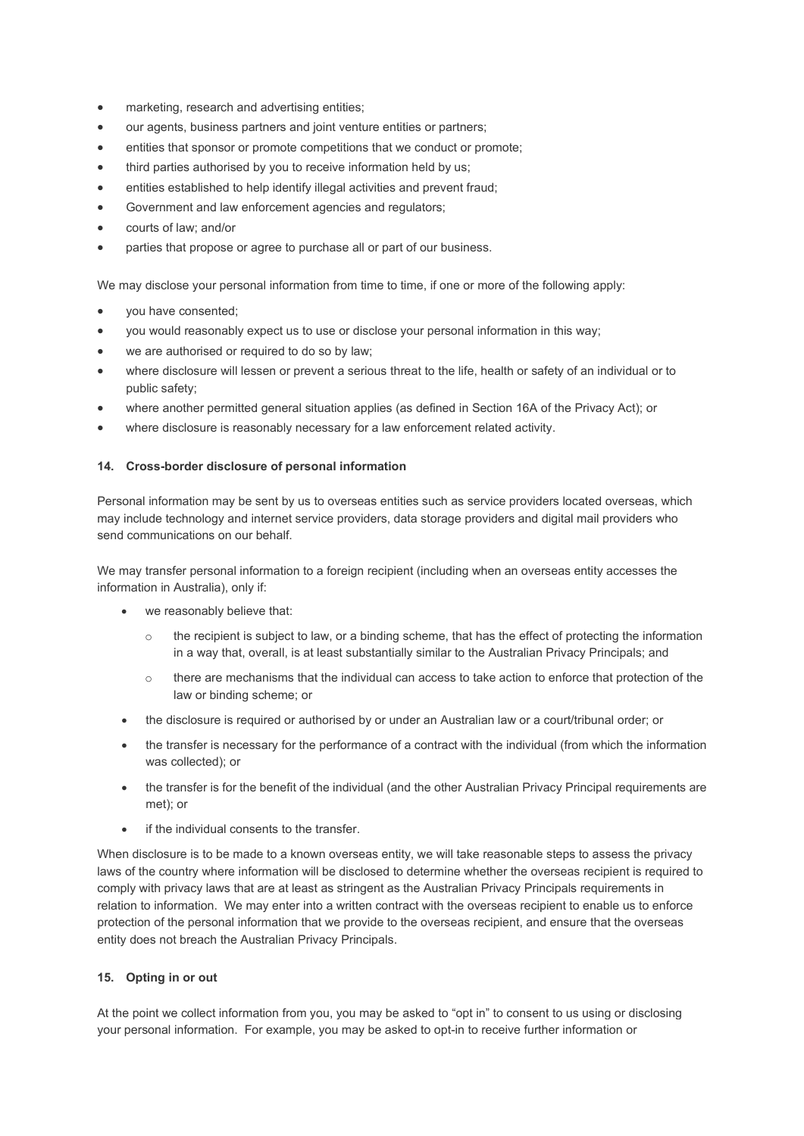- marketing, research and advertising entities;
- our agents, business partners and joint venture entities or partners;
- entities that sponsor or promote competitions that we conduct or promote;
- third parties authorised by you to receive information held by us;
- entities established to help identify illegal activities and prevent fraud;
- Government and law enforcement agencies and regulators;
- courts of law; and/or
- parties that propose or agree to purchase all or part of our business.

We may disclose your personal information from time to time, if one or more of the following apply:

- you have consented;
- you would reasonably expect us to use or disclose your personal information in this way;
- we are authorised or required to do so by law;
- where disclosure will lessen or prevent a serious threat to the life, health or safety of an individual or to public safety;
- where another permitted general situation applies (as defined in Section 16A of the Privacy Act); or
- where disclosure is reasonably necessary for a law enforcement related activity.

## **14. Cross-border disclosure of personal information**

Personal information may be sent by us to overseas entities such as service providers located overseas, which may include technology and internet service providers, data storage providers and digital mail providers who send communications on our behalf.

We may transfer personal information to a foreign recipient (including when an overseas entity accesses the information in Australia), only if:

- we reasonably believe that:
	- $\circ$  the recipient is subject to law, or a binding scheme, that has the effect of protecting the information in a way that, overall, is at least substantially similar to the Australian Privacy Principals; and
	- o there are mechanisms that the individual can access to take action to enforce that protection of the law or binding scheme; or
- the disclosure is required or authorised by or under an Australian law or a court/tribunal order; or
- the transfer is necessary for the performance of a contract with the individual (from which the information was collected); or
- the transfer is for the benefit of the individual (and the other Australian Privacy Principal requirements are met); or
- if the individual consents to the transfer.

When disclosure is to be made to a known overseas entity, we will take reasonable steps to assess the privacy laws of the country where information will be disclosed to determine whether the overseas recipient is required to comply with privacy laws that are at least as stringent as the Australian Privacy Principals requirements in relation to information. We may enter into a written contract with the overseas recipient to enable us to enforce protection of the personal information that we provide to the overseas recipient, and ensure that the overseas entity does not breach the Australian Privacy Principals.

#### **15. Opting in or out**

At the point we collect information from you, you may be asked to "opt in" to consent to us using or disclosing your personal information. For example, you may be asked to opt-in to receive further information or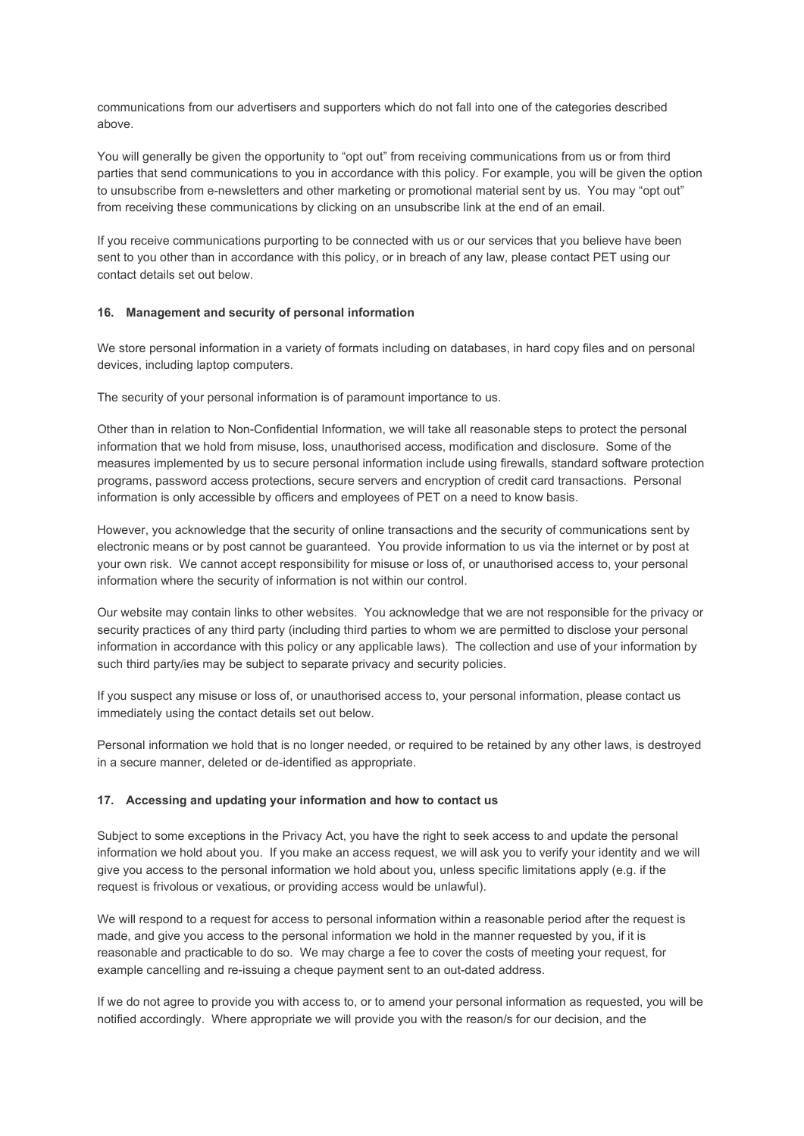communications from our advertisers and supporters which do not fall into one of the categories described above.

You will generally be given the opportunity to "opt out" from receiving communications from us or from third parties that send communications to you in accordance with this policy. For example, you will be given the option to unsubscribe from e-newsletters and other marketing or promotional material sent by us. You may "opt out" from receiving these communications by clicking on an unsubscribe link at the end of an email.

If you receive communications purporting to be connected with us or our services that you believe have been sent to you other than in accordance with this policy, or in breach of any law, please contact PET using our contact details set out below.

#### **16. Management and security of personal information**

We store personal information in a variety of formats including on databases, in hard copy files and on personal devices, including laptop computers.

The security of your personal information is of paramount importance to us.

Other than in relation to Non-Confidential Information, we will take all reasonable steps to protect the personal information that we hold from misuse, loss, unauthorised access, modification and disclosure. Some of the measures implemented by us to secure personal information include using firewalls, standard software protection programs, password access protections, secure servers and encryption of credit card transactions. Personal information is only accessible by officers and employees of PET on a need to know basis.

However, you acknowledge that the security of online transactions and the security of communications sent by electronic means or by post cannot be guaranteed. You provide information to us via the internet or by post at your own risk. We cannot accept responsibility for misuse or loss of, or unauthorised access to, your personal information where the security of information is not within our control.

Our website may contain links to other websites. You acknowledge that we are not responsible for the privacy or security practices of any third party (including third parties to whom we are permitted to disclose your personal information in accordance with this policy or any applicable laws). The collection and use of your information by such third party/ies may be subject to separate privacy and security policies.

If you suspect any misuse or loss of, or unauthorised access to, your personal information, please contact us immediately using the contact details set out below.

Personal information we hold that is no longer needed, or required to be retained by any other laws, is destroyed in a secure manner, deleted or de-identified as appropriate.

#### **17. Accessing and updating your information and how to contact us**

Subject to some exceptions in the Privacy Act, you have the right to seek access to and update the personal information we hold about you. If you make an access request, we will ask you to verify your identity and we will give you access to the personal information we hold about you, unless specific limitations apply (e.g. if the request is frivolous or vexatious, or providing access would be unlawful).

We will respond to a request for access to personal information within a reasonable period after the request is made, and give you access to the personal information we hold in the manner requested by you, if it is reasonable and practicable to do so. We may charge a fee to cover the costs of meeting your request, for example cancelling and re-issuing a cheque payment sent to an out-dated address.

If we do not agree to provide you with access to, or to amend your personal information as requested, you will be notified accordingly. Where appropriate we will provide you with the reason/s for our decision, and the